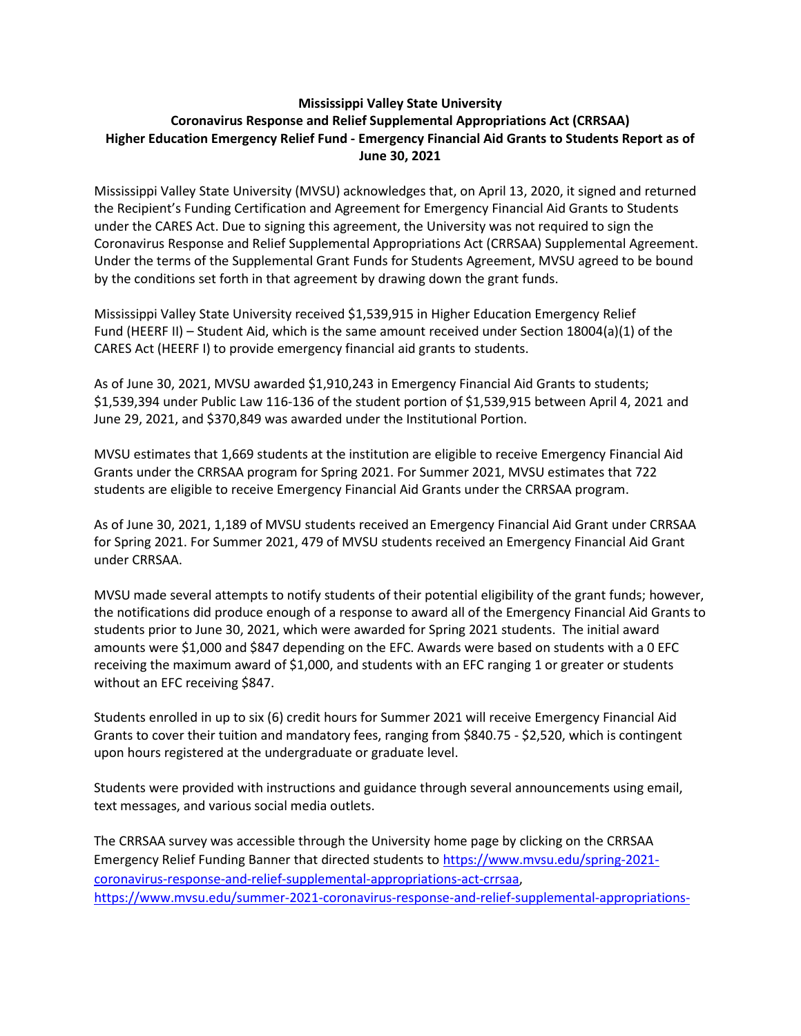## **Mississippi Valley State University Coronavirus Response and Relief Supplemental Appropriations Act (CRRSAA) Higher Education Emergency Relief Fund - Emergency Financial Aid Grants to Students Report as of June 30, 2021**

Mississippi Valley State University (MVSU) acknowledges that, on April 13, 2020, it signed and returned the Recipient's Funding Certification and Agreement for Emergency Financial Aid Grants to Students under the CARES Act. Due to signing this agreement, the University was not required to sign the Coronavirus Response and Relief Supplemental Appropriations Act (CRRSAA) Supplemental Agreement. Under the terms of the Supplemental Grant Funds for Students Agreement, MVSU agreed to be bound by the conditions set forth in that agreement by drawing down the grant funds.

Mississippi Valley State University received \$1,539,915 in Higher Education Emergency Relief Fund (HEERF II) – Student Aid, which is the same amount received under Section 18004(a)(1) of the CARES Act (HEERF I) to provide emergency financial aid grants to students.

As of June 30, 2021, MVSU awarded \$1,910,243 in Emergency Financial Aid Grants to students; \$1,539,394 under Public Law 116-136 of the student portion of \$1,539,915 between April 4, 2021 and June 29, 2021, and \$370,849 was awarded under the Institutional Portion.

MVSU estimates that 1,669 students at the institution are eligible to receive Emergency Financial Aid Grants under the CRRSAA program for Spring 2021. For Summer 2021, MVSU estimates that 722 students are eligible to receive Emergency Financial Aid Grants under the CRRSAA program.

As of June 30, 2021, 1,189 of MVSU students received an Emergency Financial Aid Grant under CRRSAA for Spring 2021. For Summer 2021, 479 of MVSU students received an Emergency Financial Aid Grant under CRRSAA.

MVSU made several attempts to notify students of their potential eligibility of the grant funds; however, the notifications did produce enough of a response to award all of the Emergency Financial Aid Grants to students prior to June 30, 2021, which were awarded for Spring 2021 students. The initial award amounts were \$1,000 and \$847 depending on the EFC. Awards were based on students with a 0 EFC receiving the maximum award of \$1,000, and students with an EFC ranging 1 or greater or students without an EFC receiving \$847.

Students enrolled in up to six (6) credit hours for Summer 2021 will receive Emergency Financial Aid Grants to cover their tuition and mandatory fees, ranging from \$840.75 - \$2,520, which is contingent upon hours registered at the undergraduate or graduate level.

Students were provided with instructions and guidance through several announcements using email, text messages, and various social media outlets.

The CRRSAA survey was accessible through the University home page by clicking on the CRRSAA Emergency Relief Funding Banner that directed students to [https://www.mvsu.edu/spring-2021](https://www.mvsu.edu/spring-2021-coronavirus-response-and-relief-supplemental-appropriations-act-crrsaa) [coronavirus-response-and-relief-supplemental-appropriations-act-crrsaa,](https://www.mvsu.edu/spring-2021-coronavirus-response-and-relief-supplemental-appropriations-act-crrsaa) [https://www.mvsu.edu/summer-2021-coronavirus-response-and-relief-supplemental-appropriations-](https://www.mvsu.edu/summer-2021-coronavirus-response-and-relief-supplemental-appropriations-act-crrsaa)